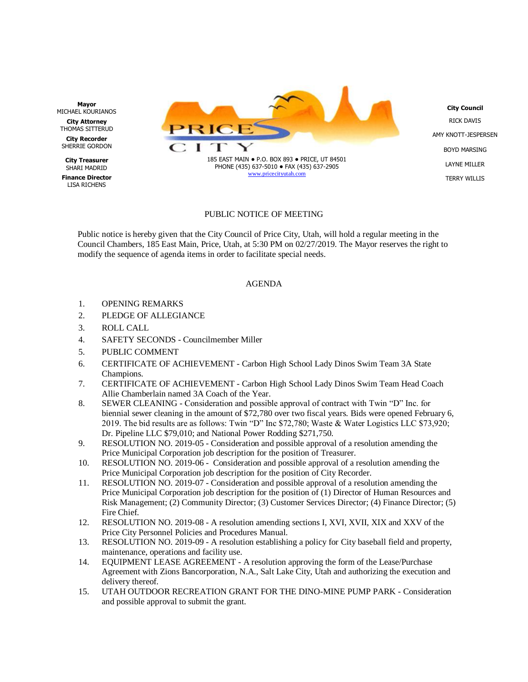

## PUBLIC NOTICE OF MEETING

Public notice is hereby given that the City Council of Price City, Utah, will hold a regular meeting in the Council Chambers, 185 East Main, Price, Utah, at 5:30 PM on 02/27/2019. The Mayor reserves the right to modify the sequence of agenda items in order to facilitate special needs.

## AGENDA

- 1. OPENING REMARKS
- 2. PLEDGE OF ALLEGIANCE
- 3. ROLL CALL
- 4. SAFETY SECONDS Councilmember Miller
- 5. PUBLIC COMMENT
- 6. CERTIFICATE OF ACHIEVEMENT Carbon High School Lady Dinos Swim Team 3A State Champions.
- 7. CERTIFICATE OF ACHIEVEMENT Carbon High School Lady Dinos Swim Team Head Coach Allie Chamberlain named 3A Coach of the Year.
- 8. SEWER CLEANING Consideration and possible approval of contract with Twin "D" Inc. for biennial sewer cleaning in the amount of \$72,780 over two fiscal years. Bids were opened February 6, 2019. The bid results are as follows: Twin "D" Inc \$72,780; Waste & Water Logistics LLC \$73,920; Dr. Pipeline LLC \$79,010; and National Power Rodding \$271,750.
- 9. RESOLUTION NO. 2019-05 Consideration and possible approval of a resolution amending the Price Municipal Corporation job description for the position of Treasurer.
- 10. RESOLUTION NO. 2019-06 Consideration and possible approval of a resolution amending the Price Municipal Corporation job description for the position of City Recorder.
- 11. RESOLUTION NO. 2019-07 Consideration and possible approval of a resolution amending the Price Municipal Corporation job description for the position of (1) Director of Human Resources and Risk Management; (2) Community Director; (3) Customer Services Director; (4) Finance Director; (5) Fire Chief.
- 12. RESOLUTION NO. 2019-08 A resolution amending sections I, XVI, XVII, XIX and XXV of the Price City Personnel Policies and Procedures Manual.
- 13. RESOLUTION NO. 2019-09 A resolution establishing a policy for City baseball field and property, maintenance, operations and facility use.
- 14. EQUIPMENT LEASE AGREEMENT A resolution approving the form of the Lease/Purchase Agreement with Zions Bancorporation, N.A., Salt Lake City, Utah and authorizing the execution and delivery thereof.
- 15. UTAH OUTDOOR RECREATION GRANT FOR THE DINO-MINE PUMP PARK Consideration and possible approval to submit the grant.

**Mayor** MICHAEL KOURIANOS

**City Attorney** THOMAS SITTERUD **City Recorder**

SHERRIE GORDON

**City Treasurer** SHARI MADRID

**Finance Director** LISA RICHENS